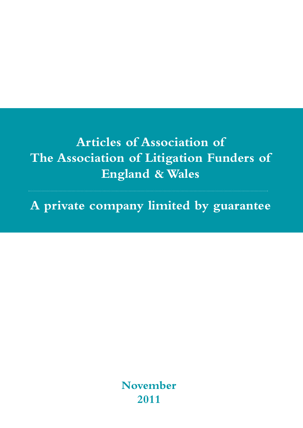**Articles of Association of The Association of Litigation Funders of England & Wales**

**A private company limited by guarantee**

**November 2011**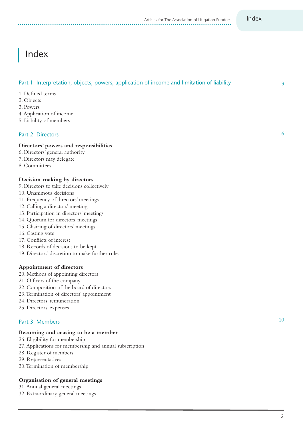## Index

## Part 1: Interpretation, objects, powers, application of income and limitation of liability

- 1. Defined terms
- 2. Objects
- 3. Powers
- 4.Application of income
- 5. Liability of members

#### Part 2: Directors

#### **Directors' powers and responsibilities**

- 6. Directors' general authority
- 7. Directors may delegate
- 8. Committees

## **Decision-making by directors**

- 9. Directors to take decisions collectively
- 10. Unanimous decisions
- 11. Frequency of directors' meetings
- 12. Calling a directors' meeting
- 13. Participation in directors' meetings
- 14. Quorum for directors' meetings
- 15. Chairing of directors' meetings
- 16. Casting vote
- 17. Conflicts of interest
- 18. Records of decisions to be kept
- 19. Directors' discretion to make further rules

#### **Appointment of directors**

- 20. Methods of appointing directors
- 21. Officers of the company
- 22. Composition of the board of directors
- 23.Termination of directors'appointment
- 24. Directors' remuneration
- 25. Directors' expenses

## Part 3: Members

#### **Becoming and ceasing to be a member**

- 26. Eligibility for membership
- 27.Applications for membership and annual subscription
- 28. Register of members
- 29. Representatives
- 30.Termination of membership

#### **Organisation of general meetings**

- 31.Annual general meetings
- 32. Extraordinary general meetings

3

6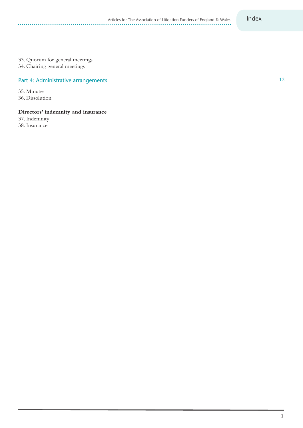12

#### 33. Quorum for general meetings

34. Chairing general meetings

#### Part 4: Administrative arrangements

35. Minutes 36. Dissolution

. . . . . . . . . . . . . . . . . . . .

#### **Directors' indemnity and insurance**

37. Indemnity 38. Insurance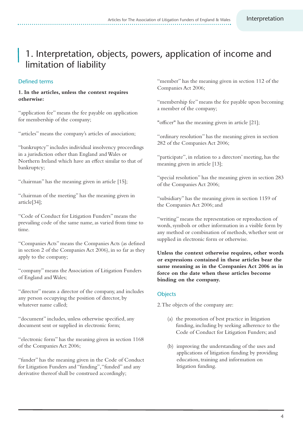## 1. Interpretation, objects, powers, application of income and limitation of liability

## Defined terms

#### **1. In the articles, unless the context requires otherwise:**

"application fee" means the fee payable on application for membership of the company;

"articles" means the company's articles of association;

"bankruptcy" includes individual insolvency proceedings in a jurisdiction other than England andWales or Northern Ireland which have an effect similar to that of bankruptcy;

"chairman" has the meaning given in article [15];

"chairman of the meeting" has the meaning given in article[34];

"Code of Conduct for Litigation Funders" means the prevailing code of the same name, as varied from time to time.

"Companies Acts" means the Companies Acts (as defined in section 2 of the Companies Act 2006), in so far as they apply to the company;

"company" means the Association of Litigation Funders of England andWales;

"director" means a director of the company, and includes any person occupying the position of director, by whatever name called;

"document" includes, unless otherwise specified,any document sent or supplied in electronic form;

"electronic form" has the meaning given in section 1168 of the Companies Act 2006;

"funder" has the meaning given in the Code of Conduct for Litigation Funders and "funding", "funded" and any derivative thereof shall be construed accordingly;

"member" has the meaning given in section 112 of the Companies Act 2006;

"membership fee" means the fee payable upon becoming a member of the company;

"officer" has the meaning given in article [21];

"ordinary resolution" has the meaning given in section 282 of the Companies Act 2006;

"participate", in relation to a directors' meeting, has the meaning given in article [13];

"special resolution" has the meaning given in section 283 of the Companies Act 2006;

"subsidiary" has the meaning given in section 1159 of the Companies Act 2006; and

"writing" means the representation or reproduction of words, symbols or other information in a visible form by any method or combination of methods, whether sent or supplied in electronic form or otherwise.

**Unless the context otherwise requires, other words or expressions contained in these articles bear the same meaning as in the Companies Act 2006 as in force on the date when these articles become binding on the company.**

#### **Objects**

2.The objects of the company are:

- (a) the promotion of best practice in litigation funding, including by seeking adherence to the Code of Conduct for Litigation Funders; and
- (b) improving the understanding of the uses and applications of litigation funding by providing education, training and information on litigation funding.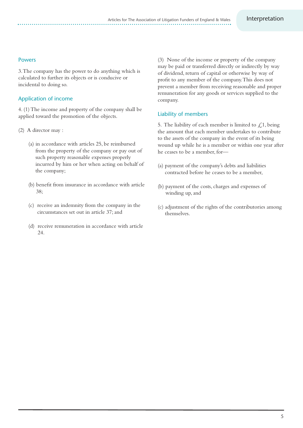#### Powers

3.The company has the power to do anything which is calculated to further its objects or is conducive or incidental to doing so.

## Application of income

4. (1)The income and property of the company shall be applied toward the promotion of the objects.

- (2) A director may :
	- (a) in accordance with articles 25, be reimbursed from the property of the company or pay out of such property reasonable expenses properly incurred by him or her when acting on behalf of the company;
	- (b) benefit from insurance in accordance with article 38;
	- (c) receive an indemnity from the company in the circumstances set out in article 37;and
	- (d) receive remuneration in accordance with article 24.

(3) None of the income or property of the company may be paid or transferred directly or indirectly by way of dividend, return of capital or otherwise by way of profit to any member of the company.This does not prevent a member from receiving reasonable and proper remuneration for any goods or services supplied to the company.

## Liability of members

5. The liability of each member is limited to  $\mathcal{L}$ 1, being the amount that each member undertakes to contribute to the assets of the company in the event of its being wound up while he is a member or within one year after he ceases to be a member, for—

- (a) payment of the company's debts and liabilities contracted before he ceases to be a member,
- (b) payment of the costs, charges and expenses of winding up, and
- (c) adjustment of the rights of the contributories among themselves.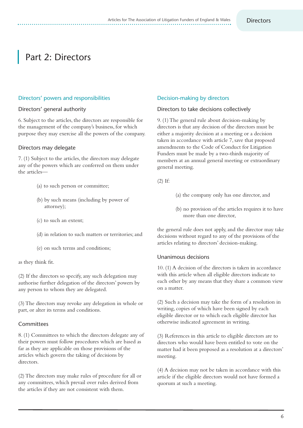## Part 2: Directors

#### Directors' powers and responsibilities

#### Directors' general authority

6. Subject to the articles, the directors are responsible for the management of the company's business, for which purpose they may exercise all the powers of the company.

#### Directors may delegate

7. (1) Subject to the articles, the directors may delegate any of the powers which are conferred on them under the articles—

- (a) to such person or committee;
- (b) by such means (including by power of attorney);
- (c) to such an extent;
- (d) in relation to such matters or territories;and
- (e) on such terms and conditions;

as they think fit.

(2) If the directors so specify,any such delegation may authorise further delegation of the directors' powers by any person to whom they are delegated.

(3)The directors may revoke any delegation in whole or part, or alter its terms and conditions.

## Committees

8. (1) Committees to which the directors delegate any of their powers must follow procedures which are based as far as they are applicable on those provisions of the articles which govern the taking of decisions by directors.

(2)The directors may make rules of procedure for all or any committees, which prevail over rules derived from the articles if they are not consistent with them.

#### Decision-making by directors

#### Directors to take decisions collectively

9. (1)The general rule about decision-making by directors is that any decision of the directors must be either a majority decision at a meeting or a decision taken in accordance with article 7, save that proposed amendments to the Code of Conduct for Litigation Funders must be made by a two-thirds majority of members at an annual general meeting or extraordinary general meeting.

(2) If:

- (a) the company only has one director,and
- (b) no provision of the articles requires it to have more than one director,

the general rule does not apply, and the director may take decisions without regard to any of the provisions of the articles relating to directors' decision-making.

#### Unanimous decisions

10. (1) A decision of the directors is taken in accordance with this article when all eligible directors indicate to each other by any means that they share a common view on a matter.

(2) Such a decision may take the form of a resolution in writing, copies of which have been signed by each eligible director or to which each eligible director has otherwise indicated agreement in writing.

(3) References in this article to eligible directors are to directors who would have been entitled to vote on the matter had it been proposed as a resolution at a directors' meeting.

(4) A decision may not be taken in accordance with this article if the eligible directors would not have formed a quorum at such a meeting.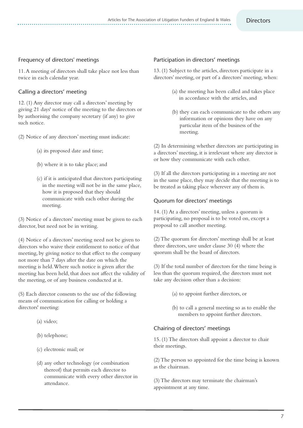## Frequency of directors' meetings

11.A meeting of directors shall take place not less than twice in each calendar year.

## Calling a directors' meeting

12. (1) Any director may call a directors' meeting by giving 21 days' notice of the meeting to the directors or by authorising the company secretary (if any) to give such notice.

(2) Notice of any directors' meeting must indicate:

- (a) its proposed date and time;
- (b) where it is to take place;and
- (c) if it is anticipated that directors participating in the meeting will not be in the same place, how it is proposed that they should communicate with each other during the meeting.

(3) Notice of a directors' meeting must be given to each director, but need not be in writing.

(4) Notice of a directors' meeting need not be given to directors who waive their entitlement to notice of that meeting, by giving notice to that effect to the company not more than 7 days after the date on which the meeting is held.Where such notice is given after the meeting has been held, that does not affect the validity of the meeting, or of any business conducted at it.

(5) Each director consents to the use of the following means of communication for calling or holding a directors' meeting:

- (a) video;
- (b) telephone;
- (c) electronic mail; or
- (d) any other technology (or combination thereof) that permits each director to communicate with every other director in attendance.

#### Participation in directors' meetings

13. (1) Subject to the articles, directors participate in a directors' meeting, or part of a directors' meeting, when:

- (a) the meeting has been called and takes place in accordance with the articles, and
- (b) they can each communicate to the others any information or opinions they have on any particular item of the business of the meeting.

(2) In determining whether directors are participating in a directors' meeting, it is irrelevant where any director is or how they communicate with each other.

(3) If all the directors participating in a meeting are not in the same place, they may decide that the meeting is to be treated as taking place wherever any of them is.

#### Quorum for directors' meetings

14. (1) At a directors' meeting, unless a quorum is participating, no proposal is to be voted on, except a proposal to call another meeting.

(2)The quorum for directors' meetings shall be at least three directors, save under clause 30 (4) where the quorum shall be the board of directors.

(3) If the total number of directors for the time being is less than the quorum required, the directors must not take any decision other than a decision:

- (a) to appoint further directors, or
- (b) to call a general meeting so as to enable the members to appoint further directors.

## Chairing of directors' meetings

15. (1)The directors shall appoint a director to chair their meetings.

(2)The person so appointed for the time being is known as the chairman.

(3)The directors may terminate the chairman's appointment at any time.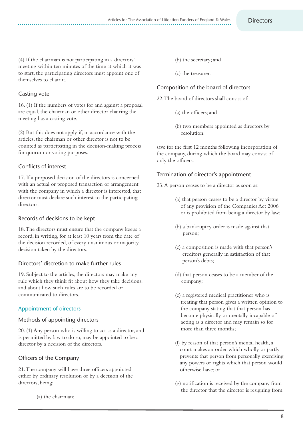(4) If the chairman is not participating in a directors' meeting within ten minutes of the time at which it was to start, the participating directors must appoint one of themselves to chair it.

## Casting vote

16. (1) If the numbers of votes for and against a proposal are equal, the chairman or other director chairing the meeting has a casting vote.

(2) But this does not apply if, in accordance with the articles, the chairman or other director is not to be counted as participating in the decision-making process for quorum or voting purposes.

## Conflicts of interest

17. If a proposed decision of the directors is concerned with an actual or proposed transaction or arrangement with the company in which a director is interested, that director must declare such interest to the participating directors.

#### Records of decisions to be kept

18.The directors must ensure that the company keeps a record, in writing, for at least 10 years from the date of the decision recorded, of every unanimous or majority decision taken by the directors.

## Directors' discretion to make further rules

19. Subject to the articles, the directors may make any rule which they think fit about how they take decisions, and about how such rules are to be recorded or communicated to directors.

## Appointment of directors

## Methods of appointing directors

20. (1) Any person who is willing to act as a director,and is permitted by law to do so, may be appointed to be a director by a decision of the directors.

## Officers of the Company

21.The company will have three officers appointed either by ordinary resolution or by a decision of the directors, being:

(a) the chairman;

- (b) the secretary;and
- (c) the treasurer.

#### Composition of the board of directors

22.The board of directors shall consist of:

- (a) the officers;and
- (b) two members appointed as directors by resolution.

save for the first 12 months following incorporation of the company, during which the board may consist of only the officers.

#### Termination of director's appointment

23.A person ceases to be a director as soon as:

- (a) that person ceases to be a director by virtue of any provision of the Companies Act 2006 or is prohibited from being a director by law;
- (b) a bankruptcy order is made against that person;
- (c) a composition is made with that person's creditors generally in satisfaction of that person's debts;
- (d) that person ceases to be a member of the company;
- (e) a registered medical practitioner who is treating that person gives a written opinion to the company stating that that person has become physically or mentally incapable of acting as a director and may remain so for more than three months;
- (f) by reason of that person's mental health,a court makes an order which wholly or partly prevents that person from personally exercising any powers or rights which that person would otherwise have; or
- (g) notification is received by the company from the director that the director is resigning from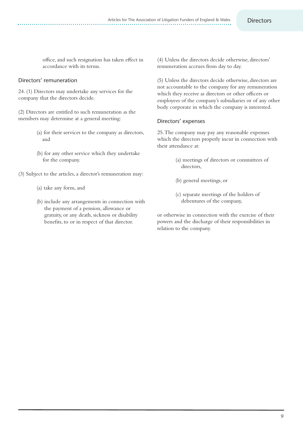office,and such resignation has taken effect in accordance with its terms.

#### Directors' remuneration

24. (1) Directors may undertake any services for the company that the directors decide.

(2) Directors are entitled to such remuneration as the members may determine at a general meeting:

- (a) for their services to the company as directors, and
- (b) for any other service which they undertake for the company.
- (3) Subject to the articles, a director's remuneration may:
	- (a) take any form,and
	- (b) include any arrangements in connection with the payment of a pension, allowance or gratuity, or any death, sickness or disability benefits, to or in respect of that director.

(4) Unless the directors decide otherwise, directors' remuneration accrues from day to day.

(5) Unless the directors decide otherwise, directors are not accountable to the company for any remuneration which they receive as directors or other officers or employees of the company's subsidiaries or of any other body corporate in which the company is interested.

#### Directors' expenses

25.The company may pay any reasonable expenses which the directors properly incur in connection with their attendance at:

- (a) meetings of directors or committees of directors.
- (b) general meetings, or
- (c) separate meetings of the holders of debentures of the company,

or otherwise in connection with the exercise of their powers and the discharge of their responsibilities in relation to the company.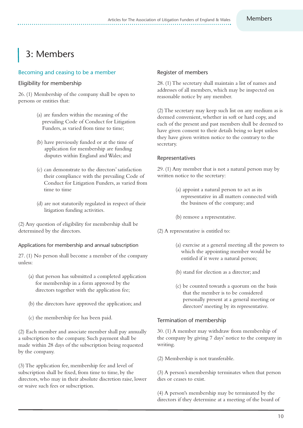# 3: Members

## Becoming and ceasing to be a member

## Eligibility for membership

26. (1) Membership of the company shall be open to persons or entities that:

- (a) are funders within the meaning of the prevailing Code of Conduct for Litigation Funders, as varied from time to time;
- (b) have previously funded or at the time of application for membership are funding disputes within England and Wales; and
- (c) can demonstrate to the directors' satisfaction their compliance with the prevailing Code of Conduct for Litigation Funders, as varied from time to time
- (d) are not statutorily regulated in respect of their litigation funding activities.

(2) Any question of eligibility for membership shall be determined by the directors.

## Applications for membership and annual subscription

27. (1) No person shall become a member of the company unless:

- (a) that person has submitted a completed application for membership in a form approved by the directors together with the application fee;
- (b) the directors have approved the application; and
- (c) the membership fee has been paid.

(2) Each member and associate member shall pay annually a subscription to the company. Such payment shall be made within 28 days of the subscription being requested by the company.

(3)The application fee, membership fee and level of subscription shall be fixed, from time to time, by the directors, who may in their absolute discretion raise, lower or waive such fees or subscription.

## Register of members

28. (1)The secretary shall maintain a list of names and addresses of all members, which may be inspected on reasonable notice by any member.

(2)The secretary may keep such list on any medium as is deemed convenient, whether in soft or hard copy, and each of the present and past members shall be deemed to have given consent to their details being so kept unless they have given written notice to the contrary to the secretary.

## Representatives

29. (1) Any member that is not a natural person may by written notice to the secretary:

- (a) appoint a natural person to act as its representative in all matters connected with the business of the company; and
- (b) remove a representative.
- (2) A representative is entitled to:
	- (a) exercise at a general meeting all the powers to which the appointing member would be entitled if it were a natural person;
	- (b) stand for election as a director;and
	- (c) be counted towards a quorum on the basis that the member is to be considered personally present at a general meeting or directors' meeting by its representative.

## Termination of membership

30. (1) A member may withdraw from membership of the company by giving 7 days' notice to the company in writing.

(2) Membership is not transferable.

(3) A person's membership terminates when that person dies or ceases to exist.

(4) A person's membership may be terminated by the directors if they determine at a meeting of the board of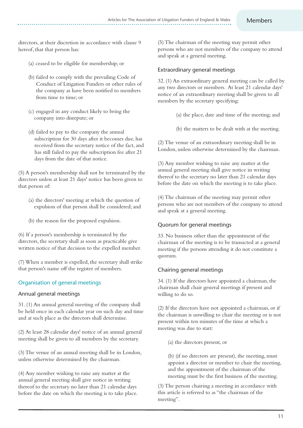directors,at their discretion in accordance with clause 9 hereof, that that person has:

- (a) ceased to be eligible for membership; or
- (b) failed to comply with the prevailing Code of Conduct of Litigation Funders or other rules of the company as have been notified to members from time to time; or
- (c) engaged in any conduct likely to bring the company into disrepute; or
- (d) failed to pay to the company the annual subscription for 30 days after it becomes due, has received from the secretary notice of the fact, and has still failed to pay the subscription fee after 21 days from the date of that notice.

(5) A person's membership shall not be terminated by the directors unless at least 21 days' notice has been given to that person of:

- (a) the directors' meeting at which the question of expulsion of that person shall be considered; and
- (b) the reason for the proposed expulsion.

(6) If a person's membership is terminated by the directors, the secretary shall as soon as practicable give written notice of that decision to the expelled member.

(7)When a member is expelled, the secretary shall strike that person's name off the register of members.

## Organisation of general meetings

## Annual general meetings

31. (1) An annual general meeting of the company shall be held once in each calendar year on such day and time and at such place as the directors shall determine.

(2) At least 28 calendar days' notice of an annual general meeting shall be given to all members by the secretary.

(3)The venue of an annual meeting shall be in London, unless otherwise determined by the chairman.

(4) Any member wishing to raise any matter at the annual general meeting shall give notice in writing thereof to the secretary no later than 21 calendar days before the date on which the meeting is to take place. (5)The chairman of the meeting may permit other persons who are not members of the company to attend and speak at a general meeting.

#### Extraordinary general meetings

32. (1) An extraordinary general meeting can be called by any two directors or members. At least 21 calendar days' notice of an extraordinary meeting shall be given to all members by the secretary specifying:

- (a) the place, date and time of the meeting; and
- (b) the matters to be dealt with at the meeting.

(2)The venue of an extraordinary meeting shall be in London, unless otherwise determined by the chairman.

(3) Any member wishing to raise any matter at the annual general meeting shall give notice in writing thereof to the secretary no later than 21 calendar days before the date on which the meeting is to take place.

(4)The chairman of the meeting may permit other persons who are not members of the company to attend and speak at a general meeting.

## Quorum for general meetings

33. No business other than the appointment of the chairman of the meeting is to be transacted at a general meeting if the persons attending it do not constitute a quorum.

## Chairing general meetings

34. (1) If the directors have appointed a chairman, the chairman shall chair general meetings if present and willing to do so.

(2) If the directors have not appointed a chairman, or if the chairman is unwilling to chair the meeting or is not present within ten minutes of the time at which a meeting was due to start:

(a) the directors present, or

(b) (if no directors are present), the meeting, must appoint a director or member to chair the meeting, and the appointment of the chairman of the meeting must be the first business of the meeting.

(3)The person chairing a meeting in accordance with this article is referred to as "the chairman of the meeting".